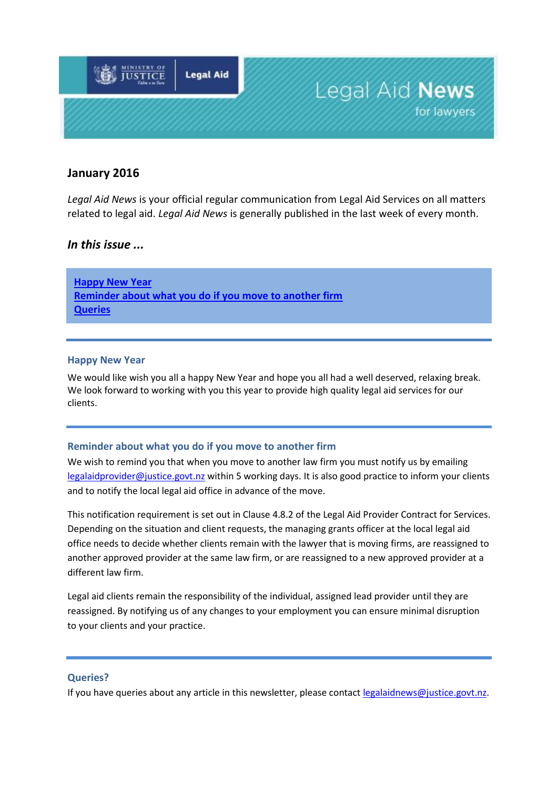

# **January 2016**

*Legal Aid News* is your official regular communication from Legal Aid Services on all matters related to legal aid. *Legal Aid News* is generally published in the last week of every month.

## *In this issue ...*

**[Happy New Year](#page-0-0) [Reminder about what you do](#page-0-1) if you move to another firm Queries**

### <span id="page-0-0"></span>**Happy New Year**

We would like wish you all a happy New Year and hope you all had a well deserved, relaxing break. We look forward to working with you this year to provide high quality legal aid services for our clients.

### <span id="page-0-1"></span>**Reminder about what you do if you move to another firm**

We wish to remind you that when you move to another law firm you must notify us by emailing [legalaidprovider@justice.govt.nz](mailto:legalaidprovider@justice.govt.nz) within 5 working days. It is also good practice to inform your clients and to notify the local legal aid office in advance of the move.

This notification requirement is set out in Clause 4.8.2 of the Legal Aid Provider Contract for Services. Depending on the situation and client requests, the managing grants officer at the local legal aid office needs to decide whether clients remain with the lawyer that is moving firms, are reassigned to another approved provider at the same law firm, or are reassigned to a new approved provider at a different law firm.

Legal aid clients remain the responsibility of the individual, assigned lead provider until they are reassigned. By notifying us of any changes to your employment you can ensure minimal disruption to your clients and your practice.

### **Queries?**

If you have queries about any article in this newsletter, please contact [legalaidnews@justice.govt.nz.](mailto:legalaidnews@justice.govt.nz)